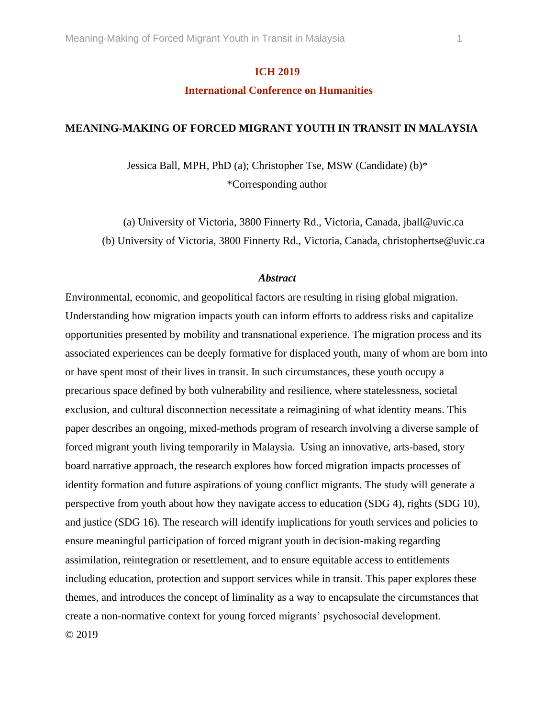### **ICH 2019**

# **International Conference on Humanities**

#### **MEANING-MAKING OF FORCED MIGRANT YOUTH IN TRANSIT IN MALAYSIA**

Jessica Ball, MPH, PhD (a); Christopher Tse, MSW (Candidate) (b)\* \*Corresponding author

(a) University of Victoria, 3800 Finnerty Rd., Victoria, Canada, jball@uvic.ca (b) University of Victoria, 3800 Finnerty Rd., Victoria, Canada, christophertse@uvic.ca

#### *Abstract*

Environmental, economic, and geopolitical factors are resulting in rising global migration. Understanding how migration impacts youth can inform efforts to address risks and capitalize opportunities presented by mobility and transnational experience. The migration process and its associated experiences can be deeply formative for displaced youth, many of whom are born into or have spent most of their lives in transit. In such circumstances, these youth occupy a precarious space defined by both vulnerability and resilience, where statelessness, societal exclusion, and cultural disconnection necessitate a reimagining of what identity means. This paper describes an ongoing, mixed-methods program of research involving a diverse sample of forced migrant youth living temporarily in Malaysia. Using an innovative, arts-based, story board narrative approach, the research explores how forced migration impacts processes of identity formation and future aspirations of young conflict migrants. The study will generate a perspective from youth about how they navigate access to education (SDG 4), rights (SDG 10), and justice (SDG 16). The research will identify implications for youth services and policies to ensure meaningful participation of forced migrant youth in decision-making regarding assimilation, reintegration or resettlement, and to ensure equitable access to entitlements including education, protection and support services while in transit. This paper explores these themes, and introduces the concept of liminality as a way to encapsulate the circumstances that create a non-normative context for young forced migrants' psychosocial development. © 2019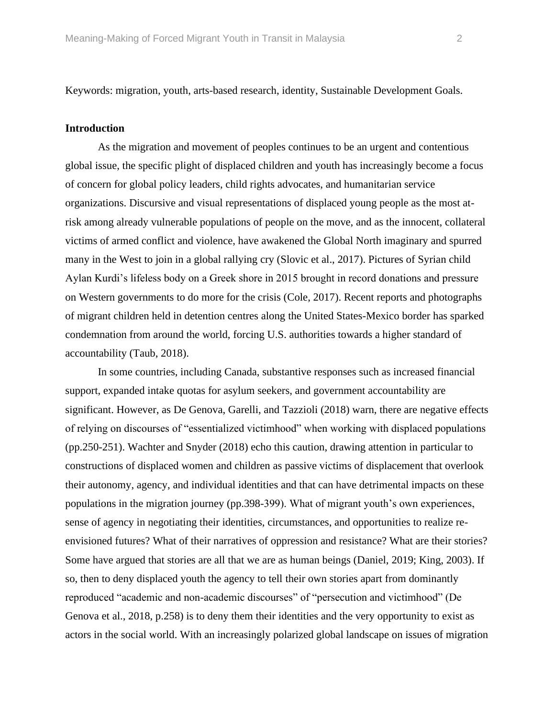Keywords: migration, youth, arts-based research, identity, Sustainable Development Goals.

#### **Introduction**

As the migration and movement of peoples continues to be an urgent and contentious global issue, the specific plight of displaced children and youth has increasingly become a focus of concern for global policy leaders, child rights advocates, and humanitarian service organizations. Discursive and visual representations of displaced young people as the most atrisk among already vulnerable populations of people on the move, and as the innocent, collateral victims of armed conflict and violence, have awakened the Global North imaginary and spurred many in the West to join in a global rallying cry (Slovic et al., 2017). Pictures of Syrian child Aylan Kurdi's lifeless body on a Greek shore in 2015 brought in record donations and pressure on Western governments to do more for the crisis (Cole, 2017). Recent reports and photographs of migrant children held in detention centres along the United States-Mexico border has sparked condemnation from around the world, forcing U.S. authorities towards a higher standard of accountability (Taub, 2018).

In some countries, including Canada, substantive responses such as increased financial support, expanded intake quotas for asylum seekers, and government accountability are significant. However, as De Genova, Garelli, and Tazzioli (2018) warn, there are negative effects of relying on discourses of "essentialized victimhood" when working with displaced populations (pp.250-251). Wachter and Snyder (2018) echo this caution, drawing attention in particular to constructions of displaced women and children as passive victims of displacement that overlook their autonomy, agency, and individual identities and that can have detrimental impacts on these populations in the migration journey (pp.398-399). What of migrant youth's own experiences, sense of agency in negotiating their identities, circumstances, and opportunities to realize reenvisioned futures? What of their narratives of oppression and resistance? What are their stories? Some have argued that stories are all that we are as human beings (Daniel, 2019; King, 2003). If so, then to deny displaced youth the agency to tell their own stories apart from dominantly reproduced "academic and non-academic discourses" of "persecution and victimhood" (De Genova et al., 2018, p.258) is to deny them their identities and the very opportunity to exist as actors in the social world. With an increasingly polarized global landscape on issues of migration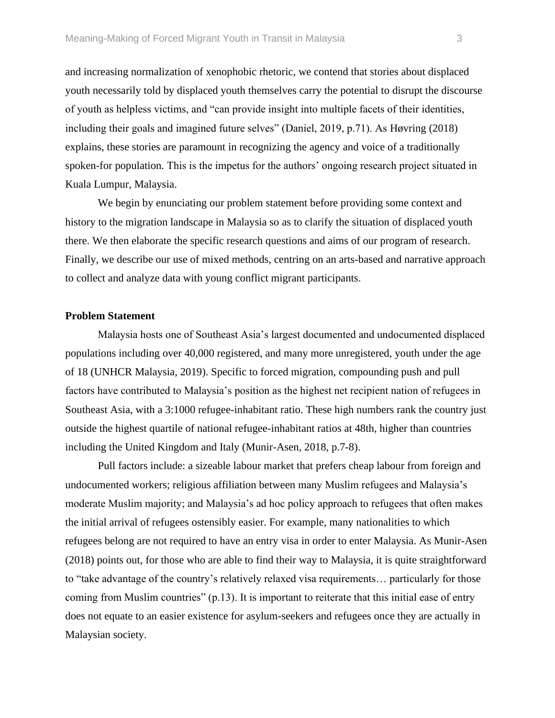and increasing normalization of xenophobic rhetoric, we contend that stories about displaced youth necessarily told by displaced youth themselves carry the potential to disrupt the discourse of youth as helpless victims, and "can provide insight into multiple facets of their identities, including their goals and imagined future selves" (Daniel, 2019, p.71). As Høvring (2018) explains, these stories are paramount in recognizing the agency and voice of a traditionally spoken-for population. This is the impetus for the authors' ongoing research project situated in Kuala Lumpur, Malaysia.

We begin by enunciating our problem statement before providing some context and history to the migration landscape in Malaysia so as to clarify the situation of displaced youth there. We then elaborate the specific research questions and aims of our program of research. Finally, we describe our use of mixed methods, centring on an arts-based and narrative approach to collect and analyze data with young conflict migrant participants.

### **Problem Statement**

Malaysia hosts one of Southeast Asia's largest documented and undocumented displaced populations including over 40,000 registered, and many more unregistered, youth under the age of 18 (UNHCR Malaysia, 2019). Specific to forced migration, compounding push and pull factors have contributed to Malaysia's position as the highest net recipient nation of refugees in Southeast Asia, with a 3:1000 refugee-inhabitant ratio. These high numbers rank the country just outside the highest quartile of national refugee-inhabitant ratios at 48th, higher than countries including the United Kingdom and Italy (Munir-Asen, 2018, p.7-8).

Pull factors include: a sizeable labour market that prefers cheap labour from foreign and undocumented workers; religious affiliation between many Muslim refugees and Malaysia's moderate Muslim majority; and Malaysia's ad hoc policy approach to refugees that often makes the initial arrival of refugees ostensibly easier. For example, many nationalities to which refugees belong are not required to have an entry visa in order to enter Malaysia. As Munir-Asen (2018) points out, for those who are able to find their way to Malaysia, it is quite straightforward to "take advantage of the country's relatively relaxed visa requirements… particularly for those coming from Muslim countries" (p.13). It is important to reiterate that this initial ease of entry does not equate to an easier existence for asylum-seekers and refugees once they are actually in Malaysian society.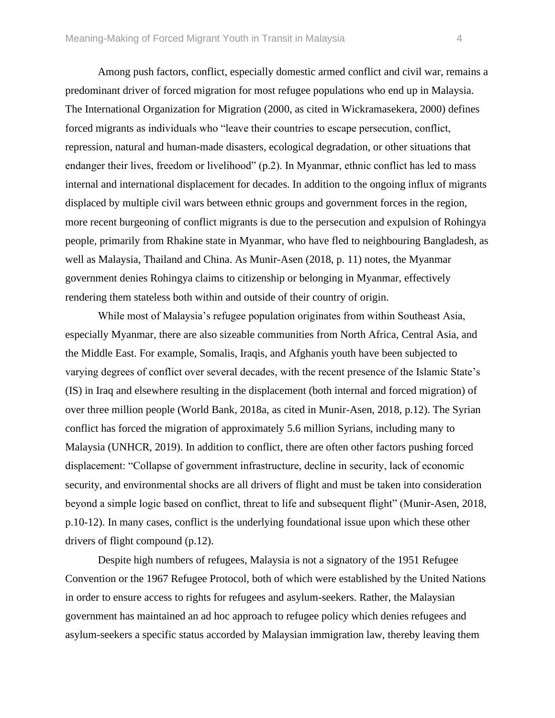Among push factors, conflict, especially domestic armed conflict and civil war, remains a predominant driver of forced migration for most refugee populations who end up in Malaysia. The International Organization for Migration (2000, as cited in Wickramasekera, 2000) defines forced migrants as individuals who "leave their countries to escape persecution, conflict, repression, natural and human-made disasters, ecological degradation, or other situations that endanger their lives, freedom or livelihood" (p.2). In Myanmar, ethnic conflict has led to mass internal and international displacement for decades. In addition to the ongoing influx of migrants displaced by multiple civil wars between ethnic groups and government forces in the region, more recent burgeoning of conflict migrants is due to the persecution and expulsion of Rohingya people, primarily from Rhakine state in Myanmar, who have fled to neighbouring Bangladesh, as well as Malaysia, Thailand and China. As Munir-Asen (2018, p. 11) notes, the Myanmar

government denies Rohingya claims to citizenship or belonging in Myanmar, effectively rendering them stateless both within and outside of their country of origin.

While most of Malaysia's refugee population originates from within Southeast Asia, especially Myanmar, there are also sizeable communities from North Africa, Central Asia, and the Middle East. For example, Somalis, Iraqis, and Afghanis youth have been subjected to varying degrees of conflict over several decades, with the recent presence of the Islamic State's (IS) in Iraq and elsewhere resulting in the displacement (both internal and forced migration) of over three million people (World Bank, 2018a, as cited in Munir-Asen, 2018, p.12). The Syrian conflict has forced the migration of approximately 5.6 million Syrians, including many to Malaysia (UNHCR, 2019). In addition to conflict, there are often other factors pushing forced displacement: "Collapse of government infrastructure, decline in security, lack of economic security, and environmental shocks are all drivers of flight and must be taken into consideration beyond a simple logic based on conflict, threat to life and subsequent flight" (Munir-Asen, 2018, p.10-12). In many cases, conflict is the underlying foundational issue upon which these other drivers of flight compound (p.12).

Despite high numbers of refugees, Malaysia is not a signatory of the 1951 Refugee Convention or the 1967 Refugee Protocol, both of which were established by the United Nations in order to ensure access to rights for refugees and asylum-seekers. Rather, the Malaysian government has maintained an ad hoc approach to refugee policy which denies refugees and asylum-seekers a specific status accorded by Malaysian immigration law, thereby leaving them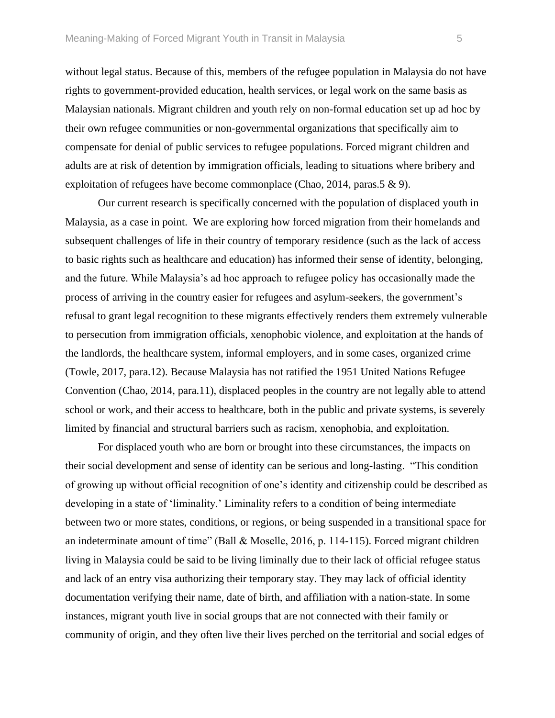without legal status. Because of this, members of the refugee population in Malaysia do not have rights to government-provided education, health services, or legal work on the same basis as Malaysian nationals. Migrant children and youth rely on non-formal education set up ad hoc by their own refugee communities or non-governmental organizations that specifically aim to compensate for denial of public services to refugee populations. Forced migrant children and adults are at risk of detention by immigration officials, leading to situations where bribery and exploitation of refugees have become commonplace (Chao, 2014, paras.5 & 9).

Our current research is specifically concerned with the population of displaced youth in Malaysia, as a case in point. We are exploring how forced migration from their homelands and subsequent challenges of life in their country of temporary residence (such as the lack of access to basic rights such as healthcare and education) has informed their sense of identity, belonging, and the future. While Malaysia's ad hoc approach to refugee policy has occasionally made the process of arriving in the country easier for refugees and asylum-seekers, the government's refusal to grant legal recognition to these migrants effectively renders them extremely vulnerable to persecution from immigration officials, xenophobic violence, and exploitation at the hands of the landlords, the healthcare system, informal employers, and in some cases, organized crime (Towle, 2017, para.12). Because Malaysia has not ratified the 1951 United Nations Refugee Convention (Chao, 2014, para.11), displaced peoples in the country are not legally able to attend school or work, and their access to healthcare, both in the public and private systems, is severely limited by financial and structural barriers such as racism, xenophobia, and exploitation.

For displaced youth who are born or brought into these circumstances, the impacts on their social development and sense of identity can be serious and long-lasting. "This condition of growing up without official recognition of one's identity and citizenship could be described as developing in a state of 'liminality.' Liminality refers to a condition of being intermediate between two or more states, conditions, or regions, or being suspended in a transitional space for an indeterminate amount of time" (Ball & Moselle, 2016, p. 114-115). Forced migrant children living in Malaysia could be said to be living liminally due to their lack of official refugee status and lack of an entry visa authorizing their temporary stay. They may lack of official identity documentation verifying their name, date of birth, and affiliation with a nation-state. In some instances, migrant youth live in social groups that are not connected with their family or community of origin, and they often live their lives perched on the territorial and social edges of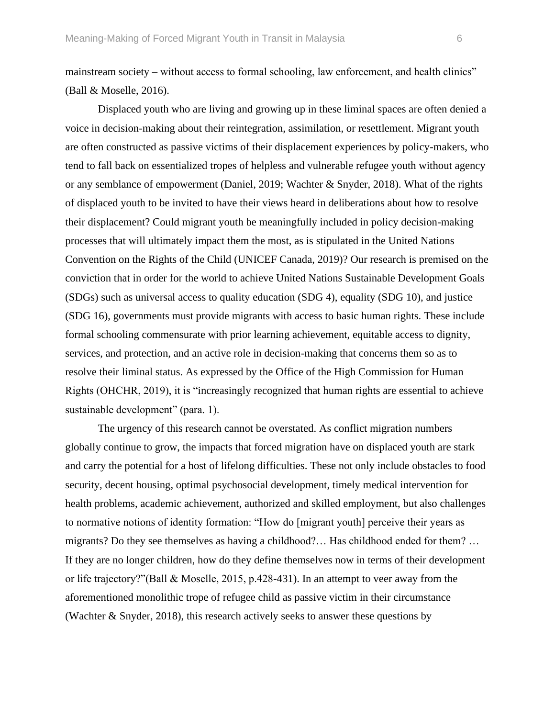mainstream society – without access to formal schooling, law enforcement, and health clinics" (Ball & Moselle, 2016).

Displaced youth who are living and growing up in these liminal spaces are often denied a voice in decision-making about their reintegration, assimilation, or resettlement. Migrant youth are often constructed as passive victims of their displacement experiences by policy-makers, who tend to fall back on essentialized tropes of helpless and vulnerable refugee youth without agency or any semblance of empowerment (Daniel, 2019; Wachter & Snyder, 2018). What of the rights of displaced youth to be invited to have their views heard in deliberations about how to resolve their displacement? Could migrant youth be meaningfully included in policy decision-making processes that will ultimately impact them the most, as is stipulated in the United Nations Convention on the Rights of the Child (UNICEF Canada, 2019)? Our research is premised on the conviction that in order for the world to achieve United Nations Sustainable Development Goals (SDGs) such as universal access to quality education (SDG 4), equality (SDG 10), and justice (SDG 16), governments must provide migrants with access to basic human rights. These include formal schooling commensurate with prior learning achievement, equitable access to dignity, services, and protection, and an active role in decision-making that concerns them so as to resolve their liminal status. As expressed by the Office of the High Commission for Human Rights (OHCHR, 2019), it is "increasingly recognized that human rights are essential to achieve sustainable development" (para. 1).

The urgency of this research cannot be overstated. As conflict migration numbers globally continue to grow, the impacts that forced migration have on displaced youth are stark and carry the potential for a host of lifelong difficulties. These not only include obstacles to food security, decent housing, optimal psychosocial development, timely medical intervention for health problems, academic achievement, authorized and skilled employment, but also challenges to normative notions of identity formation: "How do [migrant youth] perceive their years as migrants? Do they see themselves as having a childhood?… Has childhood ended for them? … If they are no longer children, how do they define themselves now in terms of their development or life trajectory?"(Ball & Moselle, 2015, p.428-431). In an attempt to veer away from the aforementioned monolithic trope of refugee child as passive victim in their circumstance (Wachter & Snyder, 2018), this research actively seeks to answer these questions by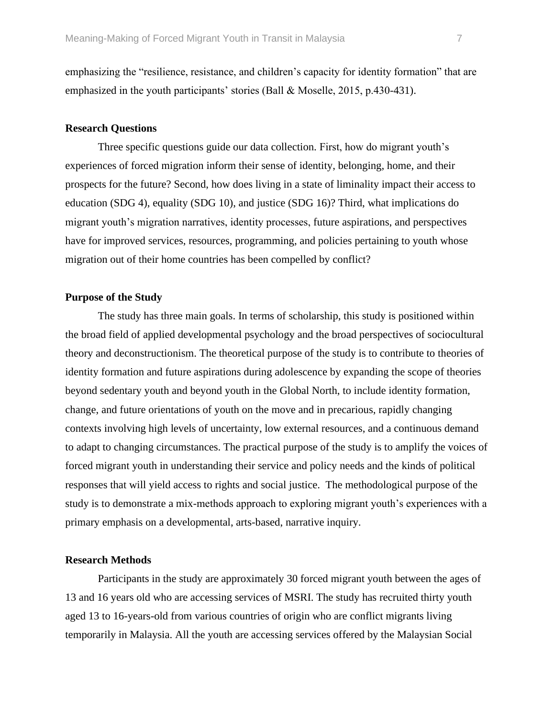emphasizing the "resilience, resistance, and children's capacity for identity formation" that are emphasized in the youth participants' stories (Ball & Moselle, 2015, p.430-431).

#### **Research Questions**

Three specific questions guide our data collection. First, how do migrant youth's experiences of forced migration inform their sense of identity, belonging, home, and their prospects for the future? Second, how does living in a state of liminality impact their access to education (SDG 4), equality (SDG 10), and justice (SDG 16)? Third, what implications do migrant youth's migration narratives, identity processes, future aspirations, and perspectives have for improved services, resources, programming, and policies pertaining to youth whose migration out of their home countries has been compelled by conflict?

### **Purpose of the Study**

The study has three main goals. In terms of scholarship, this study is positioned within the broad field of applied developmental psychology and the broad perspectives of sociocultural theory and deconstructionism. The theoretical purpose of the study is to contribute to theories of identity formation and future aspirations during adolescence by expanding the scope of theories beyond sedentary youth and beyond youth in the Global North, to include identity formation, change, and future orientations of youth on the move and in precarious, rapidly changing contexts involving high levels of uncertainty, low external resources, and a continuous demand to adapt to changing circumstances. The practical purpose of the study is to amplify the voices of forced migrant youth in understanding their service and policy needs and the kinds of political responses that will yield access to rights and social justice. The methodological purpose of the study is to demonstrate a mix-methods approach to exploring migrant youth's experiences with a primary emphasis on a developmental, arts-based, narrative inquiry.

## **Research Methods**

Participants in the study are approximately 30 forced migrant youth between the ages of 13 and 16 years old who are accessing services of MSRI. The study has recruited thirty youth aged 13 to 16-years-old from various countries of origin who are conflict migrants living temporarily in Malaysia. All the youth are accessing services offered by the Malaysian Social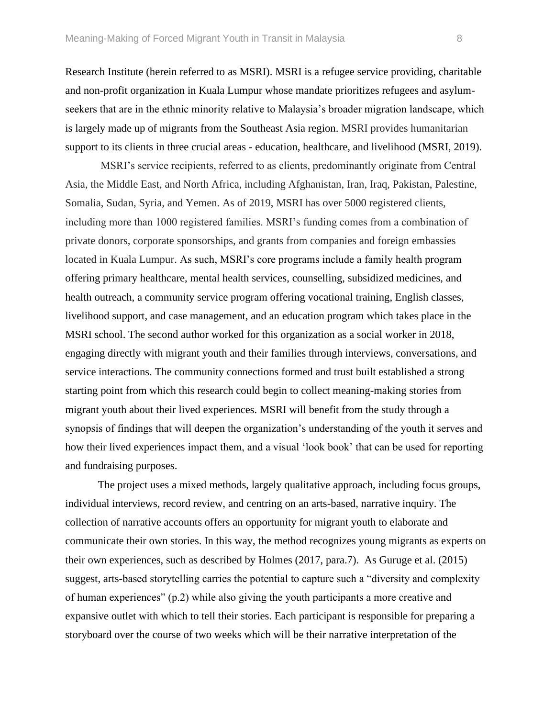Research Institute (herein referred to as MSRI). MSRI is a refugee service providing, charitable and non-profit organization in Kuala Lumpur whose mandate prioritizes refugees and asylumseekers that are in the ethnic minority relative to Malaysia's broader migration landscape, which is largely made up of migrants from the Southeast Asia region. MSRI provides humanitarian support to its clients in three crucial areas - education, healthcare, and livelihood (MSRI, 2019).

MSRI's service recipients, referred to as clients, predominantly originate from Central Asia, the Middle East, and North Africa, including Afghanistan, Iran, Iraq, Pakistan, Palestine, Somalia, Sudan, Syria, and Yemen. As of 2019, MSRI has over 5000 registered clients, including more than 1000 registered families. MSRI's funding comes from a combination of private donors, corporate sponsorships, and grants from companies and foreign embassies located in Kuala Lumpur. As such, MSRI's core programs include a family health program offering primary healthcare, mental health services, counselling, subsidized medicines, and health outreach, a community service program offering vocational training, English classes, livelihood support, and case management, and an education program which takes place in the MSRI school. The second author worked for this organization as a social worker in 2018, engaging directly with migrant youth and their families through interviews, conversations, and service interactions. The community connections formed and trust built established a strong starting point from which this research could begin to collect meaning-making stories from migrant youth about their lived experiences. MSRI will benefit from the study through a synopsis of findings that will deepen the organization's understanding of the youth it serves and how their lived experiences impact them, and a visual 'look book' that can be used for reporting and fundraising purposes.

The project uses a mixed methods, largely qualitative approach, including focus groups, individual interviews, record review, and centring on an arts-based, narrative inquiry. The collection of narrative accounts offers an opportunity for migrant youth to elaborate and communicate their own stories. In this way, the method recognizes young migrants as experts on their own experiences, such as described by Holmes (2017, para.7). As Guruge et al. (2015) suggest, arts-based storytelling carries the potential to capture such a "diversity and complexity of human experiences" (p.2) while also giving the youth participants a more creative and expansive outlet with which to tell their stories. Each participant is responsible for preparing a storyboard over the course of two weeks which will be their narrative interpretation of the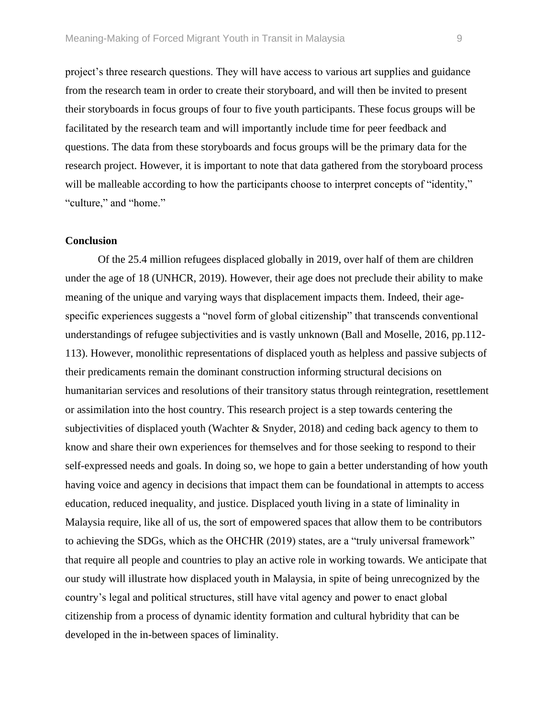project's three research questions. They will have access to various art supplies and guidance from the research team in order to create their storyboard, and will then be invited to present their storyboards in focus groups of four to five youth participants. These focus groups will be facilitated by the research team and will importantly include time for peer feedback and questions. The data from these storyboards and focus groups will be the primary data for the research project. However, it is important to note that data gathered from the storyboard process will be malleable according to how the participants choose to interpret concepts of "identity," "culture," and "home."

#### **Conclusion**

Of the 25.4 million refugees displaced globally in 2019, over half of them are children under the age of 18 (UNHCR, 2019). However, their age does not preclude their ability to make meaning of the unique and varying ways that displacement impacts them. Indeed, their agespecific experiences suggests a "novel form of global citizenship" that transcends conventional understandings of refugee subjectivities and is vastly unknown (Ball and Moselle, 2016, pp.112- 113). However, monolithic representations of displaced youth as helpless and passive subjects of their predicaments remain the dominant construction informing structural decisions on humanitarian services and resolutions of their transitory status through reintegration, resettlement or assimilation into the host country. This research project is a step towards centering the subjectivities of displaced youth (Wachter & Snyder, 2018) and ceding back agency to them to know and share their own experiences for themselves and for those seeking to respond to their self-expressed needs and goals. In doing so, we hope to gain a better understanding of how youth having voice and agency in decisions that impact them can be foundational in attempts to access education, reduced inequality, and justice. Displaced youth living in a state of liminality in Malaysia require, like all of us, the sort of empowered spaces that allow them to be contributors to achieving the SDGs, which as the OHCHR (2019) states, are a "truly universal framework" that require all people and countries to play an active role in working towards. We anticipate that our study will illustrate how displaced youth in Malaysia, in spite of being unrecognized by the country's legal and political structures, still have vital agency and power to enact global citizenship from a process of dynamic identity formation and cultural hybridity that can be developed in the in-between spaces of liminality.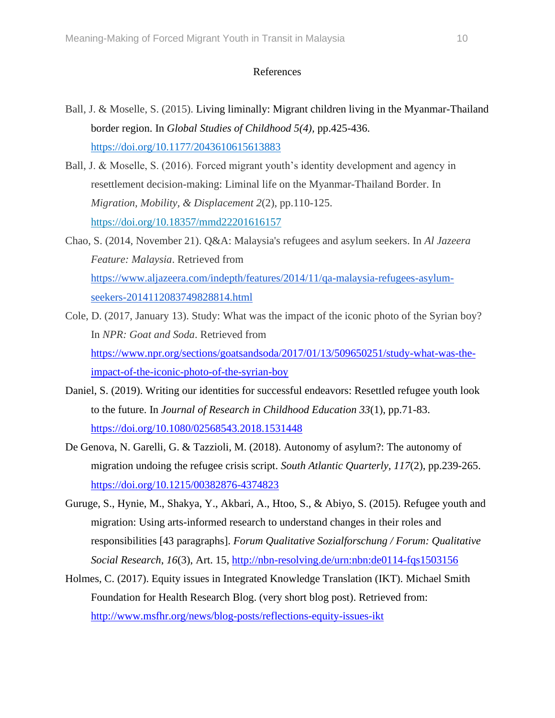## References

- Ball, J. & Moselle, S. (2015). Living liminally: Migrant children living in the Myanmar-Thailand border region. In *Global Studies of Childhood 5(4),* pp.425-436. [https://doi.org/10.1177/2043610615613883](https://doi.org/10.1177%2F2043610615613883)
- Ball, J. & Moselle, S. (2016). Forced migrant youth's identity development and agency in resettlement decision-making: Liminal life on the Myanmar-Thailand Border. In *Migration, Mobility, & Displacement 2*(2), pp.110-125. <https://doi.org/10.18357/mmd22201616157>
- Chao, S. (2014, November 21). Q&A: Malaysia's refugees and asylum seekers. In *Al Jazeera Feature: Malaysia*. Retrieved from [https://www.aljazeera.com/indepth/features/2014/11/qa-malaysia-refugees-asylum](https://www.aljazeera.com/indepth/features/2014/11/qa-malaysia-refugees-asylum-seekers-2014112083749828814.html)[seekers-2014112083749828814.html](https://www.aljazeera.com/indepth/features/2014/11/qa-malaysia-refugees-asylum-seekers-2014112083749828814.html)
- Cole, D. (2017, January 13). Study: What was the impact of the iconic photo of the Syrian boy? In *NPR: Goat and Soda*. Retrieved from [https://www.npr.org/sections/goatsandsoda/2017/01/13/509650251/study-what-was-the](https://www.npr.org/sections/goatsandsoda/2017/01/13/509650251/study-what-was-the-impact-of-the-iconic-photo-of-the-syrian-boy)[impact-of-the-iconic-photo-of-the-syrian-boy](https://www.npr.org/sections/goatsandsoda/2017/01/13/509650251/study-what-was-the-impact-of-the-iconic-photo-of-the-syrian-boy)
- Daniel, S. (2019). Writing our identities for successful endeavors: Resettled refugee youth look to the future. In *Journal of Research in Childhood Education 33*(1), pp.71-83. <https://doi.org/10.1080/02568543.2018.1531448>
- De Genova, N. Garelli, G. & Tazzioli, M. (2018). Autonomy of asylum?: The autonomy of migration undoing the refugee crisis script. *South Atlantic Quarterly, 117*(2), pp.239-265. <https://doi.org/10.1215/00382876-4374823>
- Guruge, S., Hynie, M., Shakya, Y., Akbari, A., Htoo, S., & Abiyo, S. (2015). Refugee youth and migration: Using arts-informed research to understand changes in their roles and responsibilities [43 paragraphs]. *Forum Qualitative Sozialforschung / Forum: Qualitative Social Research*, *16*(3), Art. 15,<http://nbn-resolving.de/urn:nbn:de0114-fqs1503156>
- Holmes, C. (2017). Equity issues in Integrated Knowledge Translation (IKT). Michael Smith Foundation for Health Research Blog. (very short blog post). Retrieved from: <http://www.msfhr.org/news/blog-posts/reflections-equity-issues-ikt>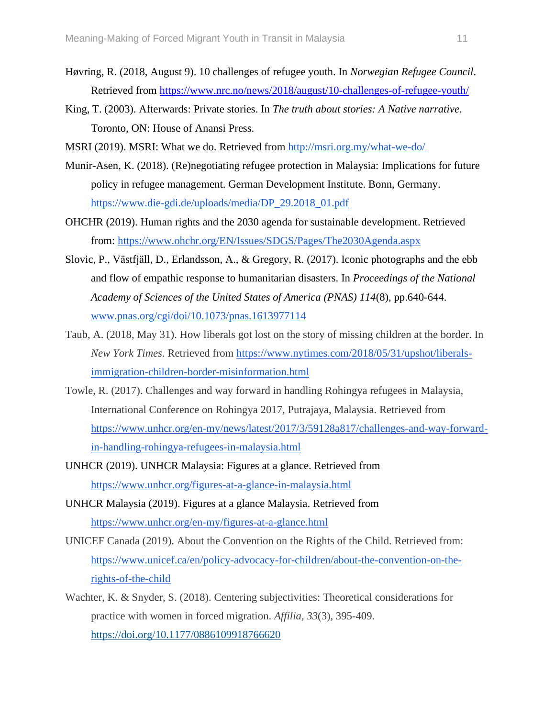- Høvring, R. (2018, August 9). 10 challenges of refugee youth. In *Norwegian Refugee Council*. Retrieved from<https://www.nrc.no/news/2018/august/10-challenges-of-refugee-youth/>
- King, T. (2003). Afterwards: Private stories. In *The truth about stories: A Native narrative*. Toronto, ON: House of Anansi Press.
- MSRI (2019). MSRI: What we do. Retrieved from<http://msri.org.my/what-we-do/>
- Munir-Asen, K. (2018). (Re)negotiating refugee protection in Malaysia: Implications for future policy in refugee management. German Development Institute. Bonn, Germany. [https://www.die-gdi.de/uploads/media/DP\\_29.2018\\_01.pdf](https://www.die-gdi.de/uploads/media/DP_29.2018_01.pdf)
- OHCHR (2019). Human rights and the 2030 agenda for sustainable development. Retrieved from:<https://www.ohchr.org/EN/Issues/SDGS/Pages/The2030Agenda.aspx>
- Slovic, P., Västfjäll, D., Erlandsson, A., & Gregory, R. (2017). Iconic photographs and the ebb and flow of empathic response to humanitarian disasters. In *Proceedings of the National Academy of Sciences of the United States of America (PNAS) 114*(8), pp.640-644. [www.pnas.org/cgi/doi/10.1073/pnas.1613977114](http://www.pnas.org/cgi/doi/10.1073/pnas.1613977114)
- Taub, A. (2018, May 31). How liberals got lost on the story of missing children at the border. In *New York Times*. Retrieved from [https://www.nytimes.com/2018/05/31/upshot/liberals](https://www.nytimes.com/2018/05/31/upshot/liberals-immigration-children-border-misinformation.html)[immigration-children-border-misinformation.html](https://www.nytimes.com/2018/05/31/upshot/liberals-immigration-children-border-misinformation.html)
- Towle, R. (2017). Challenges and way forward in handling Rohingya refugees in Malaysia, International Conference on Rohingya 2017, Putrajaya, Malaysia. Retrieved from [https://www.unhcr.org/en-my/news/latest/2017/3/59128a817/challenges-and-way-forward](https://www.unhcr.org/en-my/news/latest/2017/3/59128a817/challenges-and-way-forward-in-handling-rohingya-refugees-in-malaysia.html)[in-handling-rohingya-refugees-in-malaysia.html](https://www.unhcr.org/en-my/news/latest/2017/3/59128a817/challenges-and-way-forward-in-handling-rohingya-refugees-in-malaysia.html)
- UNHCR (2019). UNHCR Malaysia: Figures at a glance. Retrieved from <https://www.unhcr.org/figures-at-a-glance-in-malaysia.html>
- UNHCR Malaysia (2019). Figures at a glance Malaysia. Retrieved from <https://www.unhcr.org/en-my/figures-at-a-glance.html>
- UNICEF Canada (2019). About the Convention on the Rights of the Child. Retrieved from: [https://www.unicef.ca/en/policy-advocacy-for-children/about-the-convention-on-the](https://www.unicef.ca/en/policy-advocacy-for-children/about-the-convention-on-the-rights-of-the-child)[rights-of-the-child](https://www.unicef.ca/en/policy-advocacy-for-children/about-the-convention-on-the-rights-of-the-child)
- Wachter, K. & Snyder, S. (2018). Centering subjectivities: Theoretical considerations for practice with women in forced migration. *Affilia, 33*(3), 395-409. [https://doi.org/10.1177/0886109918766620](http://ezproxy.library.uvic.ca/login?url=https://doi.org/10.1177/0886109918766620)